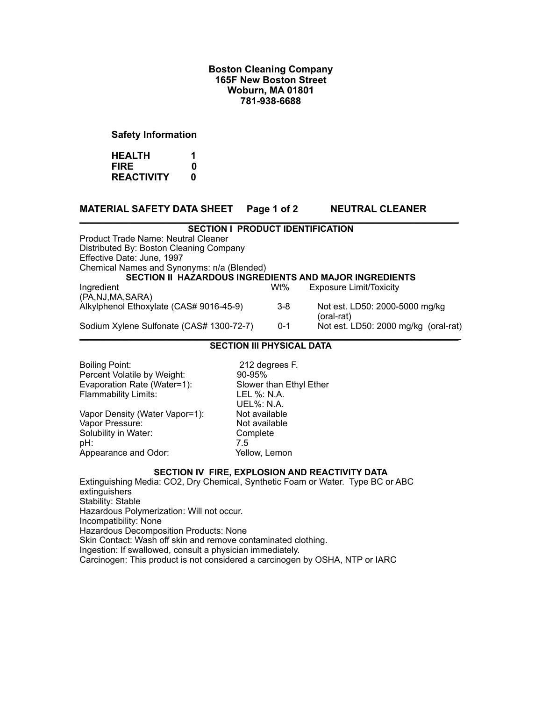## **Boston Cleaning Company 165F New Boston Street Woburn, MA 01801 781-938-6688**

## **Safety Information**

**HEALTH 1 FIRE 0 REACTIVITY 0**

# **MATERIAL SAFETY DATA SHEET Page 1 of 2 NEUTRAL CLEANER**

#### **\_\_\_\_\_\_\_\_\_\_\_\_\_\_\_\_\_\_\_\_\_\_\_\_\_\_\_\_\_\_\_\_\_\_\_\_\_\_\_\_\_\_\_\_\_\_\_\_\_\_\_\_\_\_\_\_\_\_\_\_\_\_\_\_\_\_\_\_\_\_\_\_\_\_\_\_\_ SECTION I PRODUCT IDENTIFICATION**

Product Trade Name: Neutral Cleaner Distributed By: Boston Cleaning Company Effective Date: June, 1997 Chemical Names and Synonyms: n/a (Blended) **SECTION II HAZARDOUS INGREDIENTS AND MAJOR INGREDIENTS** Ingredient Wt% Exposure Limit/Toxicity (PA,NJ,MA,SARA) Alkylphenol Ethoxylate (CAS# 9016-45-9) 3-8 Not est. LD50: 2000-5000 mg/kg (oral-rat) Sodium Xylene Sulfonate (CAS# 1300-72-7) 0-1 Not est. LD50: 2000 mg/kg (oral-rat)

#### **\_\_\_\_\_\_\_\_\_\_\_\_\_\_\_\_\_\_\_\_\_\_\_\_\_\_\_\_\_\_\_\_\_\_\_\_\_\_\_\_\_\_\_\_\_\_\_\_\_\_\_\_\_\_\_\_\_\_\_\_\_\_\_\_\_\_\_\_\_\_\_\_\_\_\_\_\_ SECTION III PHYSICAL DATA**

Boiling Point: 212 degrees F.<br>
Percent Volatile by Weight: 200-95% Percent Volatile by Weight: Evaporation Rate (Water=1): Slower than Ethyl Ether Flammability Limits: LEL %: N.A. Vapor Density (Water Vapor=1): Not available<br>Vapor Pressure: Not available Vapor Pressure: Not available values and Not available values of the Not available values of the Not available<br>
Not available values of the Not available values of the North Complete

 UEL%: N.A. Solubility in Water: Complete Complete Complete Complete Complete Complete Complete Complete Complete Complete Complete Complete Complete Complete Complete Complete Complete Complete Complete Complete Complete Complete Com pH: 7.5 Appearance and Odor: Yellow, Lemon

### **SECTION IV FIRE, EXPLOSION AND REACTIVITY DATA**

Extinguishing Media: CO2, Dry Chemical, Synthetic Foam or Water. Type BC or ABC extinguishers Stability: Stable Hazardous Polymerization: Will not occur. Incompatibility: None Hazardous Decomposition Products: None Skin Contact: Wash off skin and remove contaminated clothing. Ingestion: If swallowed, consult a physician immediately. Carcinogen: This product is not considered a carcinogen by OSHA, NTP or IARC